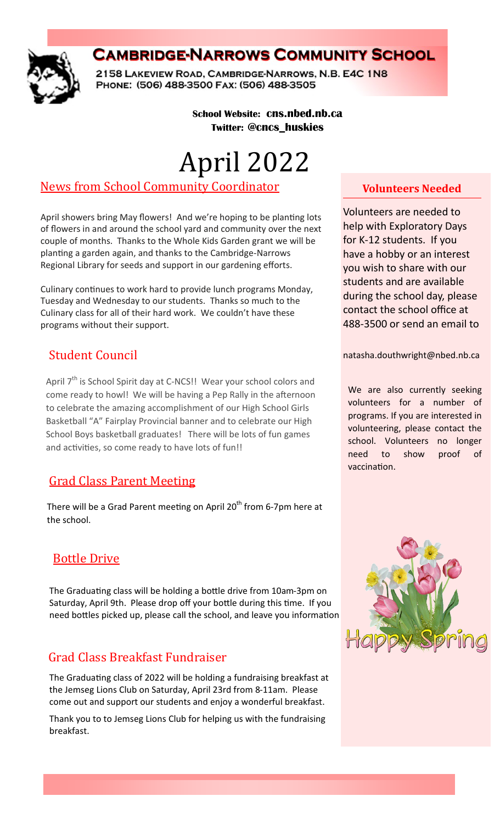

# **CAMBRIDGE-NARROWS COMMUNITY SCHOOL**

2158 LAKEVIEW ROAD, CAMBRIDGE-NARROWS, N.B. E4C 1N8 PHONE: (506) 488-3500 FAX: (506) 488-3505

#### **School Website: cns.nbed.nb.ca Twitter: @cncs\_huskies**

# April 2022

## News from School Community Coordinator

April showers bring May flowers! And we're hoping to be planting lots of flowers in and around the school yard and community over the next couple of months. Thanks to the Whole Kids Garden grant we will be planting a garden again, and thanks to the Cambridge-Narrows Regional Library for seeds and support in our gardening efforts.

Culinary continues to work hard to provide lunch programs Monday, Tuesday and Wednesday to our students. Thanks so much to the Culinary class for all of their hard work. We couldn't have these programs without their support.

## Student Council

April 7<sup>th</sup> is School Spirit day at C-NCS!! Wear your school colors and come ready to howl! We will be having a Pep Rally in the afternoon to celebrate the amazing accomplishment of our High School Girls Basketball "A" Fairplay Provincial banner and to celebrate our High School Boys basketball graduates! There will be lots of fun games and activities, so come ready to have lots of fun!!

## Grad Class Parent Meeting

There will be a Grad Parent meeting on April  $20<sup>th</sup>$  from 6-7pm here at the school.

## Bottle Drive

The Graduating class will be holding a bottle drive from 10am-3pm on Saturday, April 9th. Please drop off your bottle during this time. If you need bottles picked up, please call the school, and leave you information

# Grad Class Breakfast Fundraiser

The Graduating class of 2022 will be holding a fundraising breakfast at the Jemseg Lions Club on Saturday, April 23rd from 8-11am. Please come out and support our students and enjoy a wonderful breakfast.

Thank you to to Jemseg Lions Club for helping us with the fundraising breakfast.

### **Volunteers Needed**

Volunteers are needed to help with Exploratory Days for K-12 students. If you have a hobby or an interest you wish to share with our students and are available during the school day, please contact the school office at 488-3500 or send an email to

natasha.douthwright@nbed.nb.ca

We are also currently seeking volunteers for a number of programs. If you are interested in volunteering, please contact the school. Volunteers no longer need to show proof of vaccination.